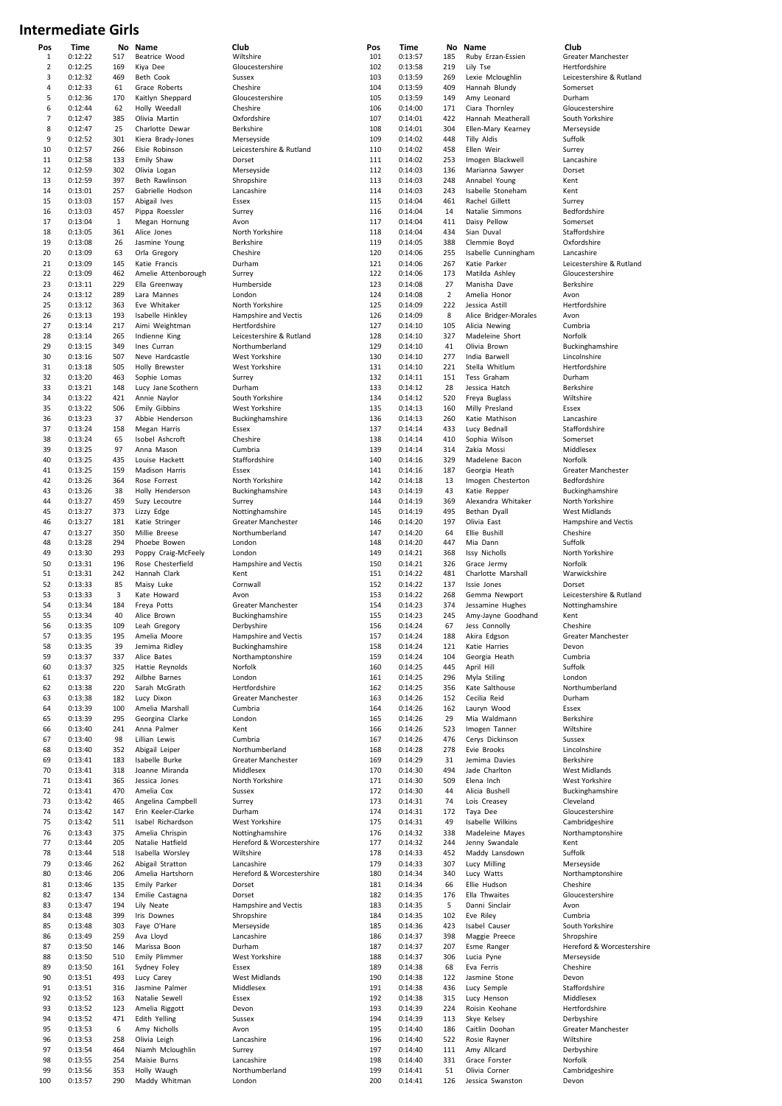## **Intermediate Girls**

| Pos            | Time    | Nο           | Name                 | Club                      | Pos | Time    | No             | <b>Name</b>           | Club                      |
|----------------|---------|--------------|----------------------|---------------------------|-----|---------|----------------|-----------------------|---------------------------|
| $\mathbf{1}$   | 0:12:22 | 517          | Beatrice Wood        | Wiltshire                 | 101 | 0:13:57 | 185            | Ruby Erzan-Essien     | Greater Manchester        |
| $\overline{2}$ | 0:12:25 | 169          | Kiya Dee             | Gloucestershire           | 102 | 0:13:58 | 219            | Lily Tse              | Hertfordshire             |
| 3              | 0:12:32 | 469          | Beth Cook            | Sussex                    | 103 | 0:13:59 | 269            | Lexie Mcloughlin      | Leicestershire & Rutland  |
| 4              | 0:12:33 | 61           | Grace Roberts        | Cheshire                  | 104 | 0:13:59 | 409            | Hannah Blundy         | Somerset                  |
| 5              | 0:12:36 | 170          | Kaitlyn Sheppard     | Gloucestershire           | 105 | 0:13:59 | 149            | Amy Leonard           | Durham                    |
| 6              | 0:12:44 | 62           | Holly Weedall        | Cheshire                  | 106 | 0:14:00 | 171            | Ciara Thornley        | Gloucestershire           |
| 7              | 0:12:47 | 385          | Olivia Martin        | Oxfordshire               | 107 | 0:14:01 | 422            | Hannah Meatherall     | South Yorkshire           |
| 8              | 0:12:47 | 25           | Charlotte Dewar      | Berkshire                 | 108 | 0:14:01 | 304            | Ellen-Mary Kearney    | Merseyside                |
| 9              | 0:12:52 | 301          | Kiera Brady-Jones    | Merseyside                | 109 | 0:14:02 | 448            | <b>Tilly Aldis</b>    | Suffolk                   |
| 10             | 0:12:57 | 266          |                      | Leicestershire & Rutland  | 110 |         | 458            |                       |                           |
|                |         |              | Elsie Robinson       |                           |     | 0:14:02 |                | Ellen Weir            | Surrey                    |
| 11             | 0:12:58 | 133          | Emily Shaw           | Dorset                    | 111 | 0:14:02 | 253            | Imogen Blackwell      | Lancashire                |
| 12             | 0:12:59 | 302          | Olivia Logan         | Merseyside                | 112 | 0:14:03 | 136            | Marianna Sawyer       | Dorset                    |
| 13             | 0:12:59 | 397          | Beth Rawlinson       | Shropshire                | 113 | 0:14:03 | 248            | Annabel Young         | Kent                      |
| 14             | 0:13:01 | 257          | Gabrielle Hodson     | Lancashire                | 114 | 0:14:03 | 243            | Isabelle Stoneham     | Kent                      |
| 15             | 0:13:03 | 157          | Abigail Ives         | Essex                     | 115 | 0:14:04 | 461            | Rachel Gillett        | Surrey                    |
| 16             | 0:13:03 | 457          | Pippa Roessler       | Surrey                    | 116 | 0:14:04 | 14             | Natalie Simmons       | Bedfordshire              |
| 17             | 0:13:04 | $\mathbf{1}$ | Megan Hornung        | Avon                      | 117 | 0:14:04 | 411            | Daisy Pellow          | Somerset                  |
| 18             | 0:13:05 | 361          | Alice Jones          | North Yorkshire           | 118 | 0:14:04 | 434            | Sian Duval            | Staffordshire             |
| 19             |         |              |                      |                           | 119 |         |                |                       |                           |
|                | 0:13:08 | 26           | Jasmine Young        | Berkshire                 |     | 0:14:05 | 388            | Clemmie Boyd          | Oxfordshire               |
| 20             | 0:13:09 | 63           | Orla Gregory         | Cheshire                  | 120 | 0:14:06 | 255            | Isabelle Cunningham   | Lancashire                |
| 21             | 0:13:09 | 145          | Katie Francis        | Durham                    | 121 | 0:14:06 | 267            | Katie Parker          | Leicestershire & Rutland  |
| 22             | 0:13:09 | 462          | Amelie Attenborough  | Surrey                    | 122 | 0:14:06 | 173            | Matilda Ashley        | Gloucestershire           |
| 23             | 0:13:11 | 229          | Ella Greenway        | Humberside                | 123 | 0:14:08 | 27             | Manisha Dave          | Berkshire                 |
| 24             | 0:13:12 | 289          | Lara Mannes          | London                    | 124 | 0:14:08 | $\overline{2}$ | Amelia Honor          | Avon                      |
| 25             | 0:13:12 | 363          | Eve Whitaker         | North Yorkshire           | 125 | 0:14:09 | 222            | Jessica Astill        | Hertfordshire             |
| 26             | 0:13:13 | 193          | Isabelle Hinkley     | Hampshire and Vectis      | 126 | 0:14:09 | 8              | Alice Bridger-Morales | Avon                      |
| 27             | 0:13:14 | 217          | Aimi Weightman       | Hertfordshire             | 127 | 0:14:10 | 105            | Alicia Newing         | Cumbria                   |
| 28             | 0:13:14 | 265          | Indienne King        | Leicestershire & Rutland  | 128 | 0:14:10 | 327            | Madeleine Short       | Norfolk                   |
| 29             | 0:13:15 | 349          | Ines Curran          | Northumberland            | 129 | 0:14:10 | 41             | Olivia Brown          | Buckinghamshire           |
|                |         | 507          |                      |                           | 130 |         |                |                       |                           |
| 30             | 0:13:16 |              | Neve Hardcastle      | <b>West Yorkshire</b>     |     | 0:14:10 | 277            | India Barwell         | Lincolnshire              |
| 31             | 0:13:18 | 505          | Holly Brewster       | West Yorkshire            | 131 | 0:14:10 | 221            | Stella Whitlum        | Hertfordshire             |
| 32             | 0:13:20 | 463          | Sophie Lomas         | Surrey                    | 132 | 0:14:11 | 151            | Tess Graham           | Durham                    |
| 33             | 0:13:21 | 148          | Lucy Jane Scothern   | Durham                    | 133 | 0:14:12 | 28             | Jessica Hatch         | Berkshire                 |
| 34             | 0:13:22 | 421          | Annie Naylor         | South Yorkshire           | 134 | 0:14:12 | 520            | Freya Buglass         | Wiltshire                 |
| 35             | 0:13:22 | 506          | <b>Emily Gibbins</b> | West Yorkshire            | 135 | 0:14:13 | 160            | Milly Presland        | Essex                     |
| 36             | 0:13:23 | 37           | Abbie Henderson      | Buckinghamshire           | 136 | 0:14:13 | 260            | Katie Mathison        | Lancashire                |
| 37             | 0:13:24 | 158          | Megan Harris         | Essex                     | 137 | 0:14:14 | 433            | Lucy Bednall          | Staffordshire             |
| 38             | 0:13:24 | 65           |                      |                           | 138 |         | 410            |                       | Somerset                  |
|                |         |              | Isobel Ashcroft      | Cheshire                  |     | 0:14:14 |                | Sophia Wilson         |                           |
| 39             | 0:13:25 | 97           | Anna Mason           | Cumbria                   | 139 | 0:14:14 | 314            | Zakia Mossi           | Middlesex                 |
| 40             | 0:13:25 | 435          | Louise Hackett       | Staffordshire             | 140 | 0:14:16 | 329            | Madelene Bacon        | Norfolk                   |
| 41             | 0:13:25 | 159          | Madison Harris       | Essex                     | 141 | 0:14:16 | 187            | Georgia Heath         | Greater Manchester        |
| 42             | 0:13:26 | 364          | Rose Forrest         | North Yorkshire           | 142 | 0:14:18 | 13             | Imogen Chesterton     | Bedfordshire              |
| 43             | 0:13:26 | 38           | Holly Henderson      | Buckinghamshire           | 143 | 0:14:19 | 43             | Katie Repper          | Buckinghamshire           |
| 44             | 0:13:27 | 459          | Suzy Lecoutre        | Surrey                    | 144 | 0:14:19 | 369            | Alexandra Whitaker    | North Yorkshire           |
| 45             | 0:13:27 | 373          | Lizzy Edge           | Nottinghamshire           | 145 | 0:14:19 | 495            | Bethan Dyall          | West Midlands             |
| 46             | 0:13:27 | 181          | Katie Stringer       | Greater Manchester        | 146 | 0:14:20 | 197            | Olivia East           | Hampshire and Vectis      |
|                |         | 350          |                      | Northumberland            | 147 |         | 64             |                       |                           |
| 47             | 0:13:27 |              | Millie Breese        |                           |     | 0:14:20 |                | Ellie Bushill         | Cheshire                  |
| 48             | 0:13:28 | 294          | Phoebe Bowen         | London                    | 148 | 0:14:20 | 447            | Mia Dann              | Suffolk                   |
| 49             | 0:13:30 | 293          | Poppy Craig-McFeely  | London                    | 149 | 0:14:21 | 368            | <b>Issy Nicholls</b>  | North Yorkshire           |
| 50             | 0:13:31 | 196          | Rose Chesterfield    | Hampshire and Vectis      | 150 | 0:14:21 | 326            | Grace Jermy           | Norfolk                   |
|                | 0:13:31 | 242          |                      | Kent                      | 151 | 0:14:22 |                | Charlotte Marshall    | Warwickshire              |
| 51             |         |              | Hannah Clark         |                           |     |         | 481            |                       |                           |
|                |         |              |                      |                           |     |         |                |                       |                           |
| 52             | 0:13:33 | 85           | Maisy Luke           | Cornwall                  | 152 | 0:14:22 | 137            | Issie Jones           | Dorset                    |
| 53             | 0:13:33 | 3            | Kate Howard          | Avon                      | 153 | 0:14:22 | 268            | Gemma Newport         | Leicestershire & Rutland  |
| 54             | 0:13:34 | 184          | Freya Potts          | Greater Manchester        | 154 | 0:14:23 | 374            | Jessamine Hughes      | Nottinghamshire           |
| 55             | 0:13:34 | 40           | Alice Brown          | Buckinghamshire           | 155 | 0:14:23 | 245            | Amy-Jayne Goodhand    | Kent                      |
| 56             | 0:13:35 | 109          | Leah Gregory         | Derbyshire                | 156 | 0:14:24 | 67             | Jess Connolly         | Cheshire                  |
| 57             | 0:13:35 | 195          | Amelia Moore         | Hampshire and Vectis      | 157 | 0:14:24 | 188            | Akira Edgson          | Greater Manchester        |
| 58             | 0:13:35 | 39           | Jemima Ridley        | Buckinghamshire           | 158 | 0:14:24 | 121            | Katie Harries         | Devon                     |
| 59             | 0:13:37 | 337          | Alice Bates          | Northamptonshire          | 159 | 0:14:24 | 104            | Georgia Heath         | Cumbria                   |
| 60             | 0:13:37 | 325          | Hattie Reynolds      | Norfolk                   | 160 | 0:14:25 | 445            | April Hill            | Suffolk                   |
| 61             | 0:13:37 | 292          | Ailbhe Barnes        | London                    | 161 | 0:14:25 | 296            | Myla Stiling          | London                    |
| 62             | 0:13:38 | 220          | Sarah McGrath        | Hertfordshire             | 162 | 0:14:25 | 356            | Kate Salthouse        | Northumberland            |
|                |         |              |                      |                           |     |         |                |                       |                           |
| 63             | 0:13:38 | 182          | Lucy Dixon           | Greater Manchester        | 163 | 0:14:26 | 152            | Cecilia Reid          | Durham                    |
| 64             | 0:13:39 | 100          | Amelia Marshall      | Cumbria                   | 164 | 0:14:26 | 162            | Lauryn Wood           | Essex                     |
| 65             | 0:13:39 | 295          | Georgina Clarke      | London                    | 165 | 0:14:26 | 29             | Mia Waldmann          | Berkshire                 |
| 66             | 0:13:40 | 241          | Anna Palmer          | Kent                      | 166 | 0:14:26 | 523            | Imogen Tanner         | Wiltshire                 |
| 67             | 0:13:40 | 98           | Lillian Lewis        | Cumbria                   | 167 | 0:14:26 | 476            | Cerys Dickinson       | Sussex                    |
| 68             | 0:13:40 | 352          | Abigail Leiper       | Northumberland            | 168 | 0:14:28 | 278            | Evie Brooks           | Lincolnshire              |
| 69             | 0:13:41 | 183          | Isabelle Burke       | <b>Greater Manchester</b> | 169 | 0:14:29 | 31             | Jemima Davies         | Berkshire                 |
| 70             | 0:13:41 | 318          | Joanne Miranda       | Middlesex                 | 170 | 0:14:30 | 494            | Jade Charlton         | West Midlands             |
| 71             | 0:13:41 | 365          | Jessica Jones        | North Yorkshire           | 171 | 0:14:30 | 509            | Elena Inch            | West Yorkshire            |
| 72             | 0:13:41 | 470          | Amelia Cox           | Sussex                    | 172 | 0:14:30 | 44             | Alicia Bushell        | Buckinghamshire           |
| 73             | 0:13:42 | 465          | Angelina Campbell    |                           | 173 | 0:14:31 | 74             | Lois Creasey          | Cleveland                 |
| 74             | 0:13:42 | 147          | Erin Keeler-Clarke   | Surrey<br>Durham          | 174 | 0:14:31 | 172            | Taya Dee              | Gloucestershire           |
|                |         |              |                      |                           |     |         |                |                       |                           |
| 75             | 0:13:42 | 511          | Isabel Richardson    | West Yorkshire            | 175 | 0:14:31 | 49             | Isabelle Wilkins      | Cambridgeshire            |
| 76             | 0:13:43 | 375          | Amelia Chrispin      | Nottinghamshire           | 176 | 0:14:32 | 338            | Madeleine Mayes       | Northamptonshire          |
| 77             | 0:13:44 | 205          | Natalie Hatfield     | Hereford & Worcestershire | 177 | 0:14:32 | 244            | Jenny Swandale        | Kent                      |
| 78             | 0:13:44 | 518          | Isabella Worsley     | Wiltshire                 | 178 | 0:14:33 | 452            | Maddy Lansdown        | Suffolk                   |
| 79             | 0:13:46 | 262          | Abigail Stratton     | Lancashire                | 179 | 0:14:33 | 307            | Lucy Milling          | Merseyside                |
| 80             | 0:13:46 | 206          | Amelia Hartshorn     | Hereford & Worcestershire | 180 | 0:14:34 | 340            | Lucy Watts            | Northamptonshire          |
| 81             | 0:13:46 | 135          | Emily Parker         | Dorset                    | 181 | 0:14:34 | 66             | Ellie Hudson          | Cheshire                  |
| 82             | 0:13:47 | 134          | Emilie Castagna      | Dorset                    | 182 | 0:14:35 | 176            | Ella Thwaites         | Gloucestershire           |
|                |         |              |                      |                           |     |         |                |                       |                           |
| 83             | 0:13:47 | 194          | Lily Neate           | Hampshire and Vectis      | 183 | 0:14:35 | 5              | Danni Sinclair        | Avon                      |
| 84             | 0:13:48 | 399          | Iris Downes          | Shropshire                | 184 | 0:14:35 | 102            | Eve Riley             | Cumbria                   |
| 85             | 0:13:48 | 303          | Faye O'Hare          | Merseyside                | 185 | 0:14:36 | 423            | Isabel Causer         | South Yorkshire           |
| 86             | 0:13:49 | 259          | Ava Lloyd            | Lancashire                | 186 | 0:14:37 | 398            | Maggie Preece         | Shropshire                |
| 87             | 0:13:50 | 146          | Marissa Boon         | Durham                    | 187 | 0:14:37 | 207            | Esme Ranger           | Hereford & Worcestershire |
| 88             | 0:13:50 | 510          | Emily Plimmer        | West Yorkshire            | 188 | 0:14:37 | 306            | Lucia Pyne            | Merseyside                |
| 89             | 0:13:50 | 161          | Sydney Foley         | Essex                     | 189 | 0:14:38 | 68             | Eva Ferris            | Cheshire                  |
| 90             | 0:13:51 | 493          | Lucy Carey           | West Midlands             | 190 | 0:14:38 | 122            | Jasmine Stone         | Devon                     |
|                |         |              |                      |                           |     |         |                |                       |                           |
| 91             | 0:13:51 | 316          | Jasmine Palmer       | Middlesex                 | 191 | 0:14:38 | 436            | Lucy Semple           | Staffordshire             |
| 92             | 0:13:52 | 163          | Natalie Sewell       | Essex                     | 192 | 0:14:38 | 315            | Lucy Henson           | Middlesex                 |
| 93             | 0:13:52 | 123          | Amelia Riggott       | Devon                     | 193 | 0:14:39 | 224            | Roisin Keohane        | Hertfordshire             |
| 94             | 0:13:52 | 471          | Edith Yelling        | Sussex                    | 194 | 0:14:39 | 113            | Skye Kelsey           | Derbyshire                |
| 95             | 0:13:53 | 6            | Amy Nicholls         | Avon                      | 195 | 0:14:40 | 186            | Caitlin Doohan        | Greater Manchester        |
| 96             | 0:13:53 | 258          | Olivia Leigh         | Lancashire                | 196 | 0:14:40 | 522            | Rosie Rayner          | Wiltshire                 |
| 97             | 0:13:54 | 464          | Niamh Mcloughlin     | Surrey                    | 197 | 0:14:40 | 111            | Amy Allcard           | Derbyshire                |
| 98             | 0:13:55 | 254          | Maisie Burns         | Lancashire                | 198 | 0:14:40 | 331            | Grace Forster         | Norfolk                   |
| 99             | 0:13:56 | 353          | Holly Waugh          | Northumberland            | 199 | 0:14:41 | 51             | Olivia Corner         | Cambridgeshire            |
| 100            | 0:13:57 | 290          | Maddy Whitman        | London                    | 200 | 0:14:41 | 126            | Jessica Swanston      | Devon                     |